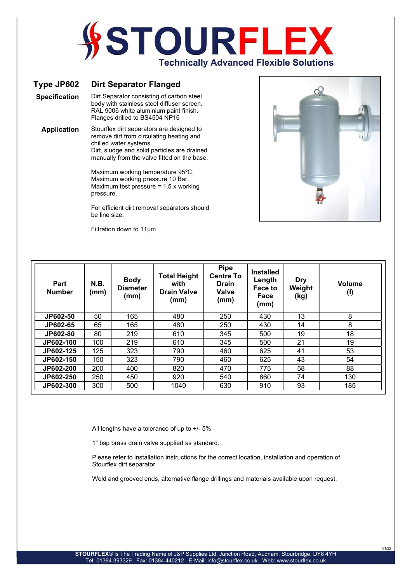## **STOURFL Technically Advanced Flexible Solutions**

## Type JP602 Dirt Separator Flanged

Specification Dirt Separator consisting of carbon steel body with stainless steel diffuser screen.

RAL 9006 white aluminium paint finish. Flanges drilled to BS4504 NP16

Application Stourflex dirt separators are designed to remove dirt from circulating heating and chilled water systems. Dirt, sludge and solid particles are drained manually from the valve fitted on the base.

> Maximum working temperature 95ºC. Maximum working pressure 10 Bar. Maximum test pressure = 1.5 x working pressure.

For efficient dirt removal separators should be line size.

Filtration down to 11μm



01/22

| Part<br><b>Number</b> | N.B.<br>(mm) | <b>Body</b><br><b>Diameter</b><br>(mm) | <b>Total Height</b><br>with<br><b>Drain Valve</b><br>(mm) | <b>Pipe</b><br><b>Centre To</b><br><b>Drain</b><br>Valve<br>(mm) | <b>Installed</b><br>Length<br>Face to<br>Face<br>(mm) | <b>Dry</b><br>Weight<br>(kg) | Volume<br>(1) |
|-----------------------|--------------|----------------------------------------|-----------------------------------------------------------|------------------------------------------------------------------|-------------------------------------------------------|------------------------------|---------------|
| JP602-50              | 50           | 165                                    | 480                                                       | 250                                                              | 430                                                   | 13                           | 8             |
| JP602-65              | 65           | 165                                    | 480                                                       | 250                                                              | 430                                                   | 14                           | 8             |
| JP602-80              | 80           | 219                                    | 610                                                       | 345                                                              | 500                                                   | 19                           | 18            |
| JP602-100             | 100          | 219                                    | 610                                                       | 345                                                              | 500                                                   | 21                           | 19            |
| JP602-125             | 125          | 323                                    | 790                                                       | 460                                                              | 625                                                   | 41                           | 53            |
| JP602-150             | 150          | 323                                    | 790                                                       | 460                                                              | 625                                                   | 43                           | 54            |
| JP602-200             | 200          | 400                                    | 820                                                       | 470                                                              | 775                                                   | 58                           | 88            |
| JP602-250             | 250          | 450                                    | 920                                                       | 540                                                              | 860                                                   | 74                           | 130           |
| JP602-300             | 300          | 500                                    | 1040                                                      | 630                                                              | 910                                                   | 93                           | 185           |

All lengths have a tolerance of up to +/- 5%

1" bsp brass drain valve supplied as standard. .

Please refer to installation instructions for the correct location, installation and operation of Stourflex dirt separator.

Weld and grooved ends, alternative flange drillings and materials available upon request.